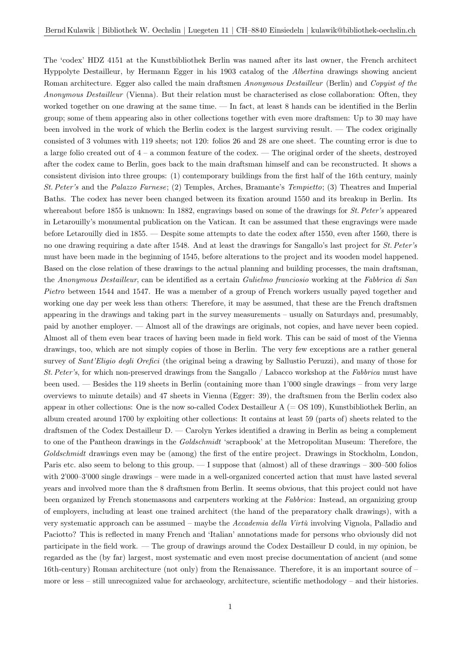The 'codex' HDZ 4151 at the Kunstbibliothek Berlin was named after its last owner, the French architect Hyppolyte Destailleur, by Hermann Egger in his 1903 catalog of the Albertina drawings showing ancient Roman architecture. Egger also called the main draftsmen Anonymous Destailleur (Berlin) and Copyist of the Anonymous Destailleur (Vienna). But their relation must be characterised as close collaboration: Often, they worked together on one drawing at the same time. — In fact, at least 8 hands can be identified in the Berlin group; some of them appearing also in other collections together with even more draftsmen: Up to 30 may have been involved in the work of which the Berlin codex is the largest surviving result. — The codex originally consisted of 3 volumes with 119 sheets; not 120: folios 26 and 28 are one sheet. The counting error is due to a large folio created out of  $4 - a$  common feature of the codex. — The original order of the sheets, destroyed after the codex came to Berlin, goes back to the main draftsman himself and can be reconstructed. It shows a consistent division into three groups: (1) contemporary buildings from the first half of the 16th century, mainly St. Peter's and the Palazzo Farnese; (2) Temples, Arches, Bramante's Tempietto; (3) Theatres and Imperial Baths. The codex has never been changed between its fixation around 1550 and its breakup in Berlin. Its whereabout before 1855 is unknown: In 1882, engravings based on some of the drawings for St. Peter's appeared in Letarouilly's monumental publication on the Vatican. It can be assumed that these engravings were made before Letarouilly died in 1855. — Despite some attempts to date the codex after 1550, even after 1560, there is no one drawing requiring a date after 1548. And at least the drawings for Sangallo's last project for St. Peter's must have been made in the beginning of 1545, before alterations to the project and its wooden model happened. Based on the close relation of these drawings to the actual planning and building processes, the main draftsman, the Anonymous Destailleur, can be identified as a certain Gulielmo franciosio working at the Fabbrica di San Pietro between 1544 and 1547. He was a member of a group of French workers usually payed together and working one day per week less than others: Therefore, it may be assumed, that these are the French draftsmen appearing in the drawings and taking part in the survey measurements – usually on Saturdays and, presumably, paid by another employer. — Almost all of the drawings are originals, not copies, and have never been copied. Almost all of them even bear traces of having been made in field work. This can be said of most of the Vienna drawings, too, which are not simply copies of those in Berlin. The very few exceptions are a rather general survey of Sant'Eligio degli Orefici (the original being a drawing by Sallustio Peruzzi), and many of those for St. Peter's, for which non-preserved drawings from the Sangallo / Labacco workshop at the Fabbrica must have been used. — Besides the 119 sheets in Berlin (containing more than 1'000 single drawings – from very large overviews to minute details) and 47 sheets in Vienna (Egger: 39), the draftsmen from the Berlin codex also appear in other collections: One is the now so-called Codex Destailleur  $A (= OS 109)$ , Kunstbibliothek Berlin, an album created around 1700 by exploiting other collections: It contains at least 59 (parts of) sheets related to the draftsmen of the Codex Destailleur D. — Carolyn Yerkes identified a drawing in Berlin as being a complement to one of the Pantheon drawings in the Goldschmidt 'scrapbook' at the Metropolitan Museum: Therefore, the Goldschmidt drawings even may be (among) the first of the entire project. Drawings in Stockholm, London, Paris etc. also seem to belong to this group. — I suppose that (almost) all of these drawings – 300–500 folios with 2'000–3'000 single drawings – were made in a well-organized concerted action that must have lasted several years and involved more than the 8 draftsmen from Berlin. It seems obvious, that this project could not have been organized by French stonemasons and carpenters working at the Fabbrica: Instead, an organizing group of employers, including at least one trained architect (the hand of the preparatory chalk drawings), with a very systematic approach can be assumed – maybe the Accademia della Virtù involving Vignola, Palladio and Paciotto? This is reflected in many French and 'Italian' annotations made for persons who obviously did not participate in the field work. — The group of drawings around the Codex Destailleur D could, in my opinion, be regarded as the (by far) largest, most systematic and even most precise documentation of ancient (and some 16th-century) Roman architecture (not only) from the Renaissance. Therefore, it is an important source of – more or less – still unrecognized value for archaeology, architecture, scientific methodology – and their histories.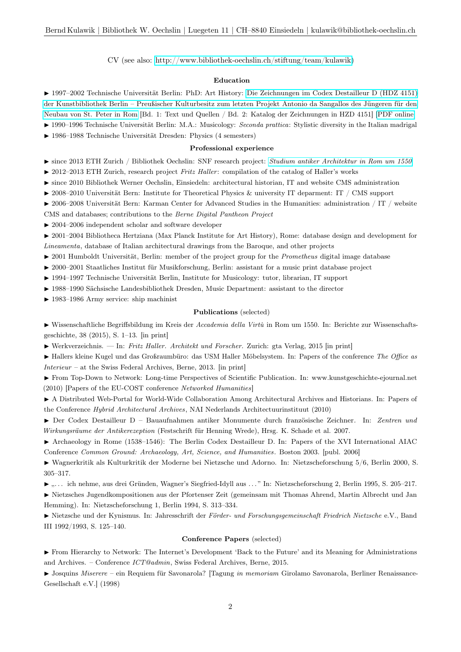CV (see also: [http://www.bibliothek-oechslin.ch/stiftung/team/kulawik\)](http://www.bibliothek-oechslin.ch/stiftung/team/kulawik)

# Education

I 1997–2002 Technische Universität Berlin: PhD: Art History: [Die Zeichnungen im Codex Destailleur D \(HDZ 4151\)](https://opus4.kobv.de/opus4-tuberlin/frontdoor/index/index/docId/406) [der Kunstbibliothek Berlin – Preußischer Kulturbesitz zum letzten Projekt Antonio da Sangallos des Jüngeren für den](https://opus4.kobv.de/opus4-tuberlin/frontdoor/index/index/docId/406) [Neubau von St. Peter in Rom](https://opus4.kobv.de/opus4-tuberlin/frontdoor/index/index/docId/406) [Bd. 1: Text und Quellen / Bd. 2: Katalog der Zeichnungen in HZD 4151] [\[PDF online\]](https://opus4.kobv.de/opus4-tuberlin/frontdoor/index/index/docId/406)

► 1990–1996 Technische Universität Berlin: M.A.: Musicology: Seconda prattica: Stylistic diversity in the Italian madrigal

I 1986–1988 Technische Universität Dresden: Physics (4 semesters)

# Professional experience

 $\triangleright$  since 2013 ETH Zurich / Bibliothek Oechslin: SNF research project: [Studium antiker Architektur in Rom um 1550](http://www.bibliothek-oechslin.ch/forschung/antikenstudium)

- $\triangleright$  2012–2013 ETH Zurich, research project Fritz Haller: compilation of the catalog of Haller's works
- I since 2010 Bibliothek Werner Oechslin, Einsiedeln: architectural historian, IT and website CMS administration
- $\triangleright$  2008–2010 Universität Bern: Institute for Theoretical Physics & university IT deparment: IT / CMS support
- $\triangleright$  2006–2008 Universität Bern: Karman Center for Advanced Studies in the Humanities: administration / IT / website CMS and databases; contributions to the Berne Digital Pantheon Project
- $\blacktriangleright$  2004–2006 independent scholar and software developer

I 2001–2004 Bibliotheca Hertziana (Max Planck Institute for Art History), Rome: database design and development for Lineamenta, database of Italian architectural drawings from the Baroque, and other projects

- $\triangleright$  2001 Humboldt Universität, Berlin: member of the project group for the *Prometheus* digital image database
- $\triangleright$  2000–2001 Staatliches Institut für Musikforschung, Berlin: assistant for a music print database project
- ▶ 1994–1997 Technische Universität Berlin, Institute for Musicology: tutor, librarian, IT support

▶ 1988–1990 Sächsische Landesbibliothek Dresden, Music Department: assistant to the director

 $\blacktriangleright$  1983–1986 Army service: ship machinist

# Publications (selected)

I Wissenschaftliche Begriffsbildung im Kreis der Accademia della Virtù in Rom um 1550. In: Berichte zur Wissenschaftsgeschichte, 38 (2015), S. 1–13. [in print]

 $\blacktriangleright$  Werkverzeichnis. — In: Fritz Haller. Architekt und Forscher. Zurich: gta Verlag, 2015 [in print]

 $\blacktriangleright$  Hallers kleine Kugel und das Großraumbüro: das USM Haller Möbelsystem. In: Papers of the conference The Office as Interieur – at the Swiss Federal Archives, Berne, 2013. [in print]

I From Top-Down to Network: Long-time Perspectives of Scientific Publication. In: www.kunstgeschichte-ejournal.net (2010) [Papers of the EU-COST conference Networked Humanities]

I A Distributed Web-Portal for World-Wide Collaboration Among Architectural Archives and Historians. In: Papers of the Conference Hybrid Architectural Archives, NAI Nederlands Architectuurinstituut (2010)

► Der Codex Destailleur D – Bauaufnahmen antiker Monumente durch französische Zeichner. In: Zentren und Wirkungsräume der Antikerezeption (Festschrift für Henning Wrede), Hrsg. K. Schade et al. 2007.

I Archaeology in Rome (1538–1546): The Berlin Codex Destailleur D. In: Papers of the XVI International AIAC Conference Common Ground: Archaeology, Art, Science, and Humanities. Boston 2003. [publ. 2006]

I Wagnerkritik als Kulturkritik der Moderne bei Nietzsche und Adorno. In: Nietzscheforschung 5/6, Berlin 2000, S. 305–317.

I ". . . ich nehme, aus drei Gründen, Wagner's Siegfried-Idyll aus . . . " In: Nietzscheforschung 2, Berlin 1995, S. 205–217.

I Nietzsches Jugendkompositionen aus der Pfortenser Zeit (gemeinsam mit Thomas Ahrend, Martin Albrecht und Jan Hemming). In: Nietzscheforschung 1, Berlin 1994, S. 313–334.

I Nietzsche und der Kynismus. In: Jahresschrift der Förder- und Forschungsgemeinschaft Friedrich Nietzsche e.V., Band III 1992/1993, S. 125–140.

#### Conference Papers (selected)

I From Hierarchy to Network: The Internet's Development 'Back to the Future' and its Meaning for Administrations and Archives. – Conference ICT@admin, Swiss Federal Archives, Berne, 2015.

► Josquins Miserere – ein Requiem für Savonarola? [Tagung in memoriam Girolamo Savonarola, Berliner Renaissance-Gesellschaft e.V.] (1998)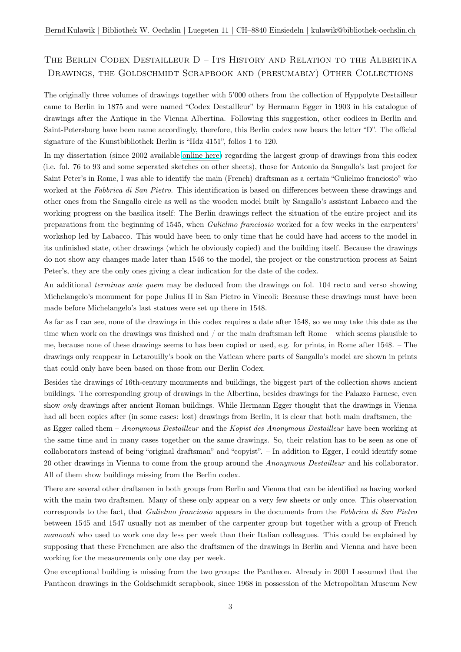# The Berlin Codex Destailleur D – Its History and Relation to the Albertina Drawings, the Goldschmidt Scrapbook and (presumably) Other Collections

The originally three volumes of drawings together with 5'000 others from the collection of Hyppolyte Destailleur came to Berlin in 1875 and were named "Codex Destailleur" by Hermann Egger in 1903 in his catalogue of drawings after the Antique in the Vienna Albertina. Following this suggestion, other codices in Berlin and Saint-Petersburg have been name accordingly, therefore, this Berlin codex now bears the letter "D". The official signature of the Kunstbibliothek Berlin is "Hdz 4151", folios 1 to 120.

In my dissertation (since 2002 available [online here\)](https://opus4.kobv.de/opus4-tuberlin/frontdoor/index/index/docId/406) regarding the largest group of drawings from this codex (i.e. fol. 76 to 93 and some seperated sketches on other sheets), those for Antonio da Sangallo's last project for Saint Peter's in Rome, I was able to identify the main (French) draftsman as a certain "Gulielmo franciosio" who worked at the Fabbrica di San Pietro. This identification is based on differences between these drawings and other ones from the Sangallo circle as well as the wooden model built by Sangallo's assistant Labacco and the working progress on the basilica itself: The Berlin drawings reflect the situation of the entire project and its preparations from the beginning of 1545, when Gulielmo franciosio worked for a few weeks in the carpenters' workshop led by Labacco. This would have been to only time that he could have had access to the model in its unfinished state, other drawings (which he obviously copied) and the building itself. Because the drawings do not show any changes made later than 1546 to the model, the project or the construction process at Saint Peter's, they are the only ones giving a clear indication for the date of the codex.

An additional *terminus ante quem* may be deduced from the drawings on fol. 104 recto and verso showing Michelangelo's monument for pope Julius II in San Pietro in Vincoli: Because these drawings must have been made before Michelangelo's last statues were set up there in 1548.

As far as I can see, none of the drawings in this codex requires a date after 1548, so we may take this date as the time when work on the drawings was finished and / or the main draftsman left Rome – which seems plausible to me, because none of these drawings seems to has been copied or used, e.g. for prints, in Rome after 1548. – The drawings only reappear in Letarouilly's book on the Vatican where parts of Sangallo's model are shown in prints that could only have been based on those from our Berlin Codex.

Besides the drawings of 16th-century monuments and buildings, the biggest part of the collection shows ancient buildings. The corresponding group of drawings in the Albertina, besides drawings for the Palazzo Farnese, even show only drawings after ancient Roman buildings. While Hermann Egger thought that the drawings in Vienna had all been copies after (in some cases: lost) drawings from Berlin, it is clear that both main draftsmen, the as Egger called them – Anonymous Destailleur and the Kopist des Anonymous Destailleur have been working at the same time and in many cases together on the same drawings. So, their relation has to be seen as one of collaborators instead of being "original draftsman" and "copyist". – In addition to Egger, I could identify some 20 other drawings in Vienna to come from the group around the Anonymous Destailleur and his collaborator. All of them show buildings missing from the Berlin codex.

There are several other draftsmen in both groups from Berlin and Vienna that can be identified as having worked with the main two draftsmen. Many of these only appear on a very few sheets or only once. This observation corresponds to the fact, that Gulielmo franciosio appears in the documents from the Fabbrica di San Pietro between 1545 and 1547 usually not as member of the carpenter group but together with a group of French manovali who used to work one day less per week than their Italian colleagues. This could be explained by supposing that these Frenchmen are also the draftsmen of the drawings in Berlin and Vienna and have been working for the measurements only one day per week.

One exceptional building is missing from the two groups: the Pantheon. Already in 2001 I assumed that the Pantheon drawings in the Goldschmidt scrapbook, since 1968 in possession of the Metropolitan Museum New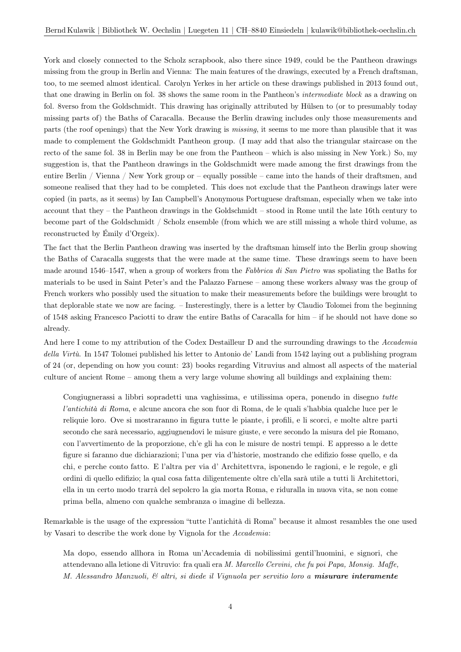York and closely connected to the Scholz scrapbook, also there since 1949, could be the Pantheon drawings missing from the group in Berlin and Vienna: The main features of the drawings, executed by a French draftsman, too, to me seemed almost identical. Carolyn Yerkes in her article on these drawings published in 2013 found out, that one drawing in Berlin on fol. 38 shows the same room in the Pantheon's intermediate block as a drawing on fol. 8verso from the Goldschmidt. This drawing has originally attributed by Hülsen to (or to presumably today missing parts of) the Baths of Caracalla. Because the Berlin drawing includes only those measurements and parts (the roof openings) that the New York drawing is missing, it seems to me more than plausible that it was made to complement the Goldschmidt Pantheon group. (I may add that also the triangular staircase on the recto of the same fol. 38 in Berlin may be one from the Pantheon – which is also missing in New York.) So, my suggestion is, that the Pantheon drawings in the Goldschmidt were made among the first drawings from the entire Berlin / Vienna / New York group or – equally possible – came into the hands of their draftsmen, and someone realised that they had to be completed. This does not exclude that the Pantheon drawings later were copied (in parts, as it seems) by Ian Campbell's Anonymous Portuguese draftsman, especially when we take into account that they – the Pantheon drawings in the Goldschmidt – stood in Rome until the late 16th century to become part of the Goldschmidt / Scholz ensemble (from which we are still missing a whole third volume, as reconstructed by Émily d'Orgeix).

The fact that the Berlin Pantheon drawing was inserted by the draftsman himself into the Berlin group showing the Baths of Caracalla suggests that the were made at the same time. These drawings seem to have been made around 1546–1547, when a group of workers from the Fabbrica di San Pietro was spoliating the Baths for materials to be used in Saint Peter's and the Palazzo Farnese – among these workers alwasy was the group of French workers who possibly used the situation to make their measurements before the buildings were brought to that deplorable state we now are facing. – Insterestingly, there is a letter by Claudio Tolomei from the beginning of 1548 asking Francesco Paciotti to draw the entire Baths of Caracalla for him – if he should not have done so already.

And here I come to my attribution of the Codex Destailleur D and the surrounding drawings to the Accademia della Virtù. In 1547 Tolomei published his letter to Antonio de' Landi from 1542 laying out a publishing program of 24 (or, depending on how you count: 23) books regarding Vitruvius and almost all aspects of the material culture of ancient Rome – among them a very large volume showing all buildings and explaining them:

Congiugnerassi a libbri sopradetti una vaghissima, e utilissima opera, ponendo in disegno tutte l'antichità di Roma, e alcune ancora che son fuor di Roma, de le quali s'habbia qualche luce per le reliquie loro. Ove si mostraranno in figura tutte le piante, i profili, e li scorci, e molte altre parti secondo che sarà necessario, aggiugnendovi le misure giuste, e vere secondo la misura del pie Romano, con l'avvertimento de la proporzione, ch'e gli ha con le misure de nostri tempi. E appresso a le dette figure si faranno due dichiarazioni; l'una per via d'historie, mostrando che edifizio fosse quello, e da chi, e perche conto fatto. E l'altra per via d' Architettvra, isponendo le ragioni, e le regole, e gli ordini di quello edifizio; la qual cosa fatta diligentemente oltre ch'ella sarà utile a tutti li Architettori, ella in un certo modo trarrà del sepolcro la gia morta Roma, e riduralla in nuova vita, se non come prima bella, almeno con qualche sembranza o imagine di bellezza.

Remarkable is the usage of the expression "tutte l'antichità di Roma" because it almost resambles the one used by Vasari to describe the work done by Vignola for the Accademia:

Ma dopo, essendo allhora in Roma un'Accademia di nobilissimi gentil'huomini, e signori, che attendevano alla letione di Vitruvio: fra quali era M. Marcello Cervini, che fu poi Papa, Monsig. Maffe, M. Alessandro Manzuoli, & altri, si diede il Vignuola per servitio loro a misurare interamente